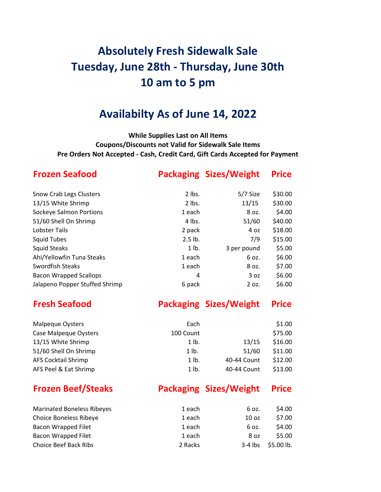## **Absolutely Fresh Sidewalk Sale Tuesday, June 28th - Thursday, June 30th 10 am to 5 pm**

## **Availabilty As of June 14, 2022**

**While Supplies Last on All Items Coupons/Discounts not Valid for Sidewalk Sale Items Pre Orders Not Accepted - Cash, Credit Card, Gift Cards Accepted for Payment**

| <b>Frozen Seafood</b>          |           | <b>Packaging Sizes/Weight</b> | <b>Price</b> |
|--------------------------------|-----------|-------------------------------|--------------|
| Snow Crab Legs Clusters        | $2$ lbs.  | 5/7 Size                      | \$30.00      |
| 13/15 White Shrimp             | $2$ lbs.  | 13/15                         | \$30.00      |
| Sockeye Salmon Portions        | 1 each    | 8 oz.                         | \$4.00       |
| 51/60 Shell On Shrimp          | 4 lbs.    | 51/60                         | \$40.00      |
| Lobster Tails                  | 2 pack    | 4 oz                          | \$18.00      |
| <b>Squid Tubes</b>             | $2.5$ lb. | 7/9                           | \$15.00      |
| <b>Squid Steaks</b>            | 1 lb.     | 3 per pound                   | \$5.00       |
| Ahi/Yellowfin Tuna Steaks      | 1 each    | 6 oz.                         | \$6.00       |
| <b>Swordfish Steaks</b>        | 1 each    | 8 oz.                         | \$7.00       |
| <b>Bacon Wrapped Scallops</b>  | 4         | 3 oz                          | \$6.00       |
| Jalapeno Popper Stuffed Shrimp | 6 pack    | 2 oz.                         | \$6.00       |

## **Fresh Seafood Packaging Sizes/Weight Price**

| Malpeque Oysters           | Each      |             | \$1.00  |
|----------------------------|-----------|-------------|---------|
| Case Malpeque Oysters      | 100 Count |             | \$75.00 |
| 13/15 White Shrimp         | 1 lb.     | 13/15       | \$16.00 |
| 51/60 Shell On Shrimp      | $1$ lb.   | 51/60       | \$11.00 |
| <b>AFS Cocktail Shrimp</b> | $1$ lb.   | 40-44 Count | \$12.00 |
| AFS Peel & Eat Shrimp      | $1$ lb.   | 40-44 Count | \$13.00 |

## **Frozen Beef/Steaks Packaging Sizes/Weight Price**

| <b>Marinated Boneless Ribeyes</b> | 1 each  | 6 oz.            | \$4.00      |
|-----------------------------------|---------|------------------|-------------|
| <b>Choice Boneless Ribeye</b>     | 1 each  | 10 <sub>oz</sub> | \$7.00      |
| <b>Bacon Wrapped Filet</b>        | 1 each  | 6 oz.            | \$4.00      |
| <b>Bacon Wrapped Filet</b>        | 1 each  | 8 oz             | \$5.00      |
| <b>Choice Beef Back Ribs</b>      | 2 Racks | $3-4$ lbs        | $$5.00$ lb. |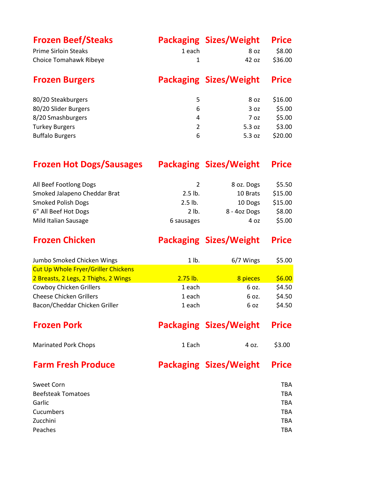| <b>Frozen Beef/Steaks</b><br><b>Prime Sirloin Steaks</b><br><b>Choice Tomahawk Ribeye</b> | 1 each<br>1 | <b>Packaging Sizes/Weight</b><br>8 <sub>oz</sub><br>42 oz | <b>Price</b><br>\$8.00<br>\$36.00 |
|-------------------------------------------------------------------------------------------|-------------|-----------------------------------------------------------|-----------------------------------|
| <b>Frozen Burgers</b>                                                                     |             | <b>Packaging Sizes/Weight</b>                             | <b>Price</b>                      |
| 80/20 Steakburgers                                                                        | 5           | 8 oz                                                      | \$16.00                           |
| 80/20 Slider Burgers                                                                      | 6           | 3 oz                                                      | \$5.00                            |
| 8/20 Smashburgers                                                                         | 4           | 7 oz                                                      | \$5.00                            |
| <b>Turkey Burgers</b>                                                                     | 2           | 5.3 oz                                                    | \$3.00                            |
| <b>Buffalo Burgers</b>                                                                    | 6           | 5.3 oz                                                    | \$20.00                           |
| <b>Frozen Hot Dogs/Sausages</b>                                                           |             | <b>Packaging Sizes/Weight</b>                             | <b>Price</b>                      |
| All Beef Footlong Dogs                                                                    | 2           | 8 oz. Dogs                                                | \$5.50                            |
| Smoked Jalapeno Cheddar Brat                                                              | $2.5$ lb.   | 10 Brats                                                  | \$15.00                           |
| <b>Smoked Polish Dogs</b>                                                                 | $2.5$ lb.   | 10 Dogs                                                   | \$15.00                           |
| 6" All Beef Hot Dogs                                                                      | 2 lb.       | 8 - 4oz Dogs                                              | \$8.00                            |
| Mild Italian Sausage                                                                      | 6 sausages  | 4 oz                                                      | \$5.00                            |
| <b>Frozen Chicken</b>                                                                     |             | <b>Packaging Sizes/Weight</b>                             | <b>Price</b>                      |
| Jumbo Smoked Chicken Wings                                                                | $1$ lb.     | 6/7 Wings                                                 | \$5.00                            |
| Cut Up Whole Fryer/Griller Chickens                                                       |             |                                                           |                                   |
| 2 Breasts, 2 Legs, 2 Thighs, 2 Wings                                                      | $2.75$ lb.  | 8 pieces                                                  | \$6.00                            |
| Cowboy Chicken Grillers                                                                   | 1 each      | 6 oz.                                                     | \$4.50                            |
| <b>Cheese Chicken Grillers</b>                                                            | 1 each      | 6 oz.                                                     | \$4.50                            |
| Bacon/Cheddar Chicken Griller                                                             | 1 each      | 6 oz                                                      | \$4.50                            |
|                                                                                           |             |                                                           |                                   |
| <b>Frozen Pork</b>                                                                        |             | <b>Packaging Sizes/Weight</b>                             | <b>Price</b>                      |
| <b>Marinated Pork Chops</b>                                                               | 1 Each      | 4 oz.                                                     | \$3.00                            |
| <b>Farm Fresh Produce</b>                                                                 |             | <b>Packaging Sizes/Weight</b>                             | <b>Price</b>                      |
| Sweet Corn                                                                                |             |                                                           | <b>TBA</b>                        |
| <b>Beefsteak Tomatoes</b>                                                                 |             |                                                           | <b>TBA</b>                        |
| Garlic                                                                                    |             |                                                           | <b>TBA</b>                        |
| Cucumbers                                                                                 |             |                                                           | <b>TBA</b>                        |
| Zucchini                                                                                  |             |                                                           | <b>TBA</b>                        |
| Peaches                                                                                   |             |                                                           | <b>TBA</b>                        |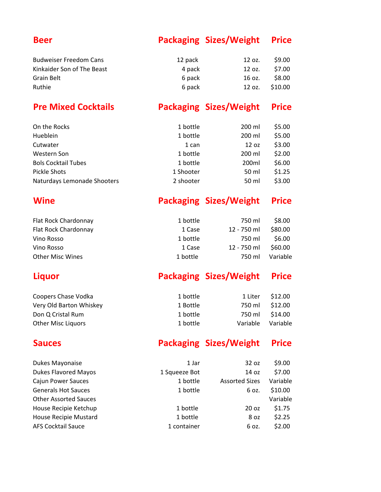| <b>Beer</b>                   |               | <b>Packaging Sizes/Weight</b> | <b>Price</b> |
|-------------------------------|---------------|-------------------------------|--------------|
| <b>Budweiser Freedom Cans</b> | 12 pack       | 12 oz.                        | \$9.00       |
| Kinkaider Son of The Beast    | 4 pack        | 12 oz.                        | \$7.00       |
| Grain Belt                    | 6 pack        | 16 oz.                        | \$8.00       |
| Ruthie                        | 6 pack        | 12 oz.                        | \$10.00      |
| <b>Pre Mixed Cocktails</b>    |               | <b>Packaging Sizes/Weight</b> | <b>Price</b> |
| On the Rocks                  | 1 bottle      | 200 ml                        | \$5.00       |
| Hueblein                      | 1 bottle      | 200 ml                        | \$5.00       |
| Cutwater                      | 1 can         | 12 oz                         | \$3.00       |
| Western Son                   | 1 bottle      | 200 ml                        | \$2.00       |
| <b>Bols Cocktail Tubes</b>    | 1 bottle      | 200ml                         | \$6.00       |
| <b>Pickle Shots</b>           | 1 Shooter     | 50 ml                         | \$1.25       |
| Naturdays Lemonade Shooters   | 2 shooter     | 50 ml                         | \$3.00       |
| <b>Wine</b>                   |               | <b>Packaging Sizes/Weight</b> | <b>Price</b> |
| Flat Rock Chardonnay          | 1 bottle      | 750 ml                        | \$8.00       |
| Flat Rock Chardonnay          | 1 Case        | 12 - 750 ml                   | \$80.00      |
| Vino Rosso                    | 1 bottle      | 750 ml                        | \$6.00       |
| Vino Rosso                    | 1 Case        | 12 - 750 ml                   | \$60.00      |
| <b>Other Misc Wines</b>       | 1 bottle      | 750 ml                        | Variable     |
| <b>Liquor</b>                 |               | <b>Packaging Sizes/Weight</b> | <b>Price</b> |
| Coopers Chase Vodka           | 1 bottle      | 1 Liter                       | \$12.00      |
| Very Old Barton Whiskey       | 1 Bottle      | 750 ml                        | \$12.00      |
| Don Q Cristal Rum             | 1 bottle      | 750 ml                        | \$14.00      |
| Other Misc Liquors            | 1 bottle      | Variable                      | Variable     |
| <b>Sauces</b>                 |               | <b>Packaging Sizes/Weight</b> | <b>Price</b> |
| Dukes Mayonaise               | 1 Jar         | 32 oz                         | \$9.00       |
| <b>Dukes Flavored Mayos</b>   | 1 Squeeze Bot | 14 oz                         | \$7.00       |
| Cajun Power Sauces            | 1 bottle      | <b>Assorted Sizes</b>         | Variable     |
| <b>Generals Hot Sauces</b>    | 1 bottle      | 6 oz.                         | \$10.00      |
| <b>Other Assorted Sauces</b>  |               |                               | Variable     |
| House Recipie Ketchup         | 1 bottle      | 20 oz                         | \$1.75       |
| House Recipie Mustard         | 1 bottle      | 8 oz                          | \$2.25       |
| <b>AFS Cocktail Sauce</b>     | 1 container   | 6 oz.                         | \$2.00       |